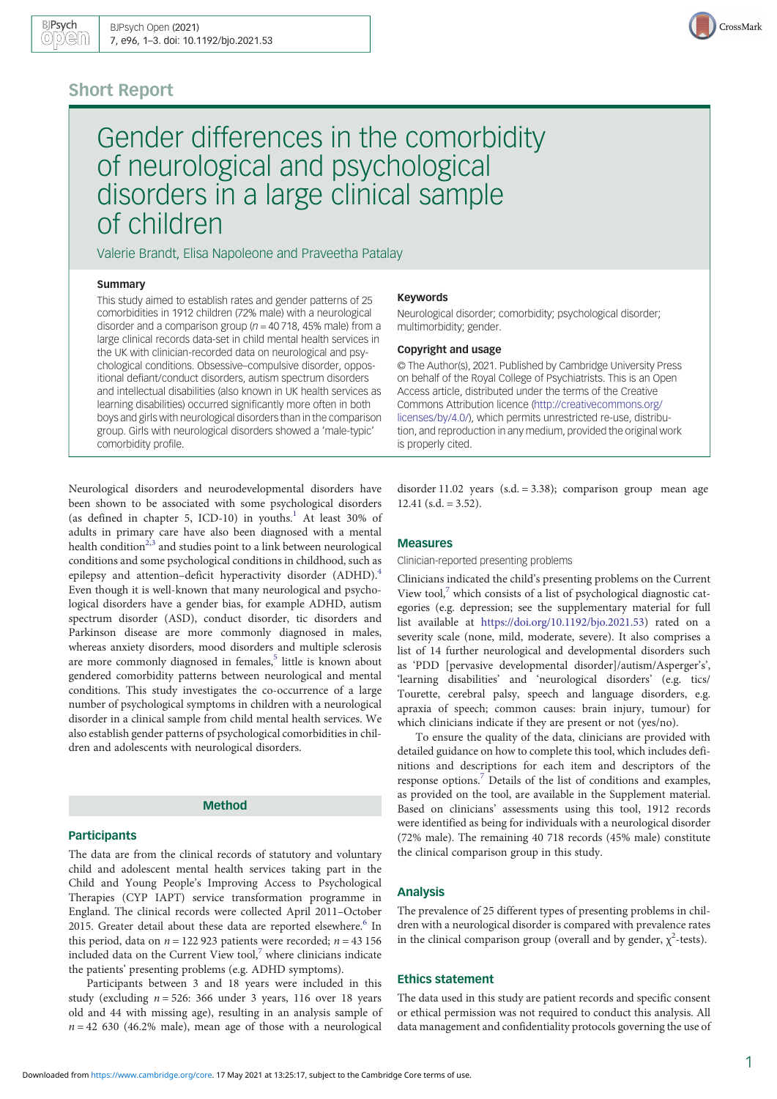# Short Report

Gender differences in the comorbidity of neurological and psychological disorders in a large clinical sample of children

Valerie Brandt, Elisa Napoleone and Praveetha Patalay

#### **Summary**

This study aimed to establish rates and gender patterns of 25 comorbidities in 1912 children (72% male) with a neurological disorder and a comparison group  $(n = 40, 718, 45\%)$  male) from a large clinical records data-set in child mental health services in the UK with clinician-recorded data on neurological and psychological conditions. Obsessive–compulsive disorder, oppositional defiant/conduct disorders, autism spectrum disorders and intellectual disabilities (also known in UK health services as learning disabilities) occurred significantly more often in both boys and girls with neurological disorders than in the comparison group. Girls with neurological disorders showed a 'male-typic' comorbidity profile.

Neurological disorders and neurodevelopmental disorders have been shown to be associated with some psychological disorders (as defined in chapter 5, ICD-10) in youths.<sup>1</sup> At least 30% of adults in primary care have also been diagnosed with a mental health condition<sup>[2,3](#page-2-0)</sup> and studies point to a link between neurological conditions and some psychological conditions in childhood, such as epilepsy and attention–deficit hyperactivity disorder (ADHD).<sup>[4](#page-2-0)</sup> Even though it is well-known that many neurological and psychological disorders have a gender bias, for example ADHD, autism spectrum disorder (ASD), conduct disorder, tic disorders and Parkinson disease are more commonly diagnosed in males, whereas anxiety disorders, mood disorders and multiple sclerosis are more commonly diagnosed in females,<sup>[5](#page-2-0)</sup> little is known about gendered comorbidity patterns between neurological and mental conditions. This study investigates the co-occurrence of a large number of psychological symptoms in children with a neurological disorder in a clinical sample from child mental health services. We also establish gender patterns of psychological comorbidities in children and adolescents with neurological disorders.

# Method

# **Participants**

The data are from the clinical records of statutory and voluntary child and adolescent mental health services taking part in the Child and Young People's Improving Access to Psychological Therapies (CYP IAPT) service transformation programme in England. The clinical records were collected April 2011–October 2015. Greater detail about these data are reported elsewhere. $6$  In this period, data on  $n = 122923$  patients were recorded;  $n = 43156$ included data on the Current View tool, $<sup>7</sup>$  $<sup>7</sup>$  $<sup>7</sup>$  where clinicians indicate</sup> the patients' presenting problems (e.g. ADHD symptoms).

Participants between 3 and 18 years were included in this study (excluding  $n = 526$ : 366 under 3 years, 116 over 18 years old and 44 with missing age), resulting in an analysis sample of  $n = 42$  630 (46.2% male), mean age of those with a neurological

#### Keywords

Neurological disorder; comorbidity; psychological disorder; multimorbidity; gender.

### Copyright and usage

© The Author(s), 2021. Published by Cambridge University Press on behalf of the Royal College of Psychiatrists. This is an Open Access article, distributed under the terms of the Creative Commons Attribution licence [\(http://creativecommons.org/](http://creativecommons.org/licenses/by/4.0/) [licenses/by/4.0/](http://creativecommons.org/licenses/by/4.0/)), which permits unrestricted re-use, distribution, and reproduction in any medium, provided the original work is properly cited.

disorder 11.02 years (s.d. = 3.38); comparison group mean age

#### Measures

 $12.41$  (s.d. = 3.52).

Clinician-reported presenting problems

Clinicians indicated the child's presenting problems on the Current View tool, $<sup>7</sup>$  which consists of a list of psychological diagnostic cat-</sup> egories (e.g. depression; see the supplementary material for full list available at [https://doi.org/10.1192/bjo.2021.53\)](https://doi.org/10.1192/bjo.2021.53) rated on a severity scale (none, mild, moderate, severe). It also comprises a list of 14 further neurological and developmental disorders such as 'PDD [pervasive developmental disorder]/autism/Asperger's', 'learning disabilities' and 'neurological disorders' (e.g. tics/ Tourette, cerebral palsy, speech and language disorders, e.g. apraxia of speech; common causes: brain injury, tumour) for which clinicians indicate if they are present or not (yes/no).

To ensure the quality of the data, clinicians are provided with detailed guidance on how to complete this tool, which includes definitions and descriptions for each item and descriptors of the response options.[7](#page-2-0) Details of the list of conditions and examples, as provided on the tool, are available in the Supplement material. Based on clinicians' assessments using this tool, 1912 records were identified as being for individuals with a neurological disorder (72% male). The remaining 40 718 records (45% male) constitute the clinical comparison group in this study.

# Analysis

The prevalence of 25 different types of presenting problems in children with a neurological disorder is compared with prevalence rates in the clinical comparison group (overall and by gender,  $\chi^2$ -tests).

# Ethics statement

The data used in this study are patient records and specific consent or ethical permission was not required to conduct this analysis. All data management and confidentiality protocols governing the use of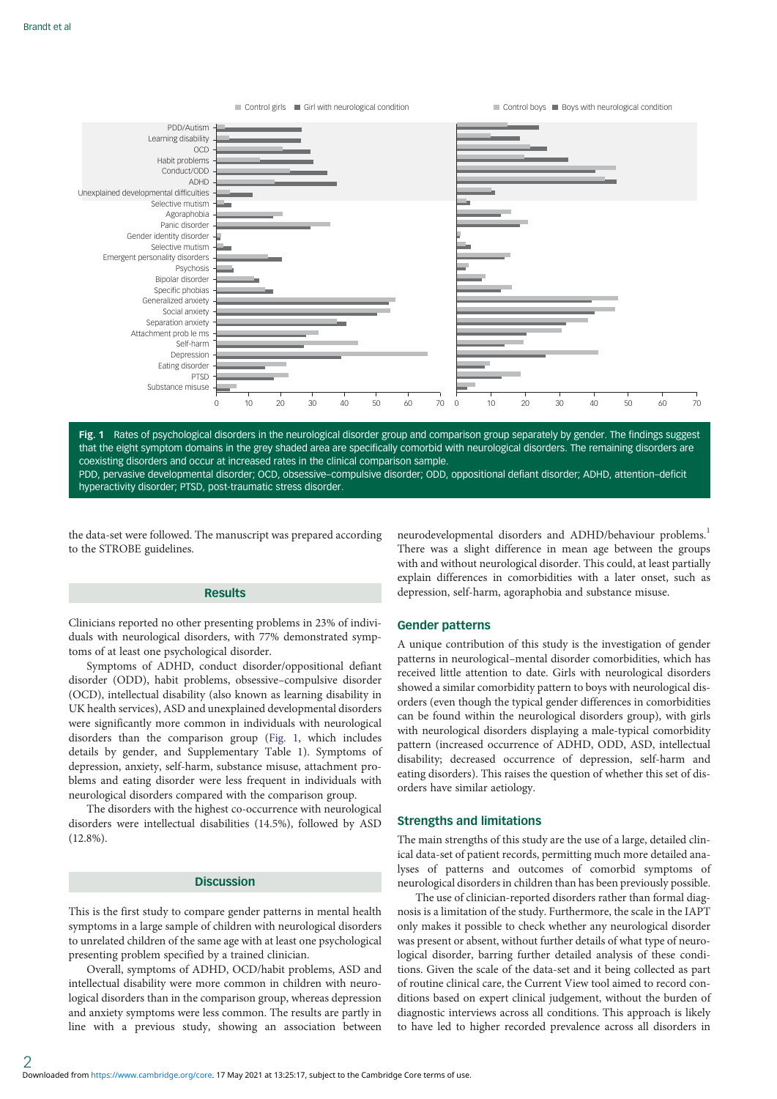

Fig. 1 Rates of psychological disorders in the neurological disorder group and comparison group separately by gender. The findings suggest that the eight symptom domains in the grey shaded area are specifically comorbid with neurological disorders. The remaining disorders are coexisting disorders and occur at increased rates in the clinical comparison sample. PDD, pervasive developmental disorder; OCD, obsessive–compulsive disorder; ODD, oppositional defiant disorder; ADHD, attention–deficit hyperactivity disorder; PTSD, post-traumatic stress disorder.

the data-set were followed. The manuscript was prepared according to the STROBE guidelines.

# Results

Clinicians reported no other presenting problems in 23% of individuals with neurological disorders, with 77% demonstrated symptoms of at least one psychological disorder.

Symptoms of ADHD, conduct disorder/oppositional defiant disorder (ODD), habit problems, obsessive–compulsive disorder (OCD), intellectual disability (also known as learning disability in UK health services), ASD and unexplained developmental disorders were significantly more common in individuals with neurological disorders than the comparison group (Fig. 1, which includes details by gender, and Supplementary Table 1). Symptoms of depression, anxiety, self-harm, substance misuse, attachment problems and eating disorder were less frequent in individuals with neurological disorders compared with the comparison group.

The disorders with the highest co-occurrence with neurological disorders were intellectual disabilities (14.5%), followed by ASD (12.8%).

### **Discussion**

This is the first study to compare gender patterns in mental health symptoms in a large sample of children with neurological disorders to unrelated children of the same age with at least one psychological presenting problem specified by a trained clinician.

Overall, symptoms of ADHD, OCD/habit problems, ASD and intellectual disability were more common in children with neurological disorders than in the comparison group, whereas depression and anxiety symptoms were less common. The results are partly in line with a previous study, showing an association between neurodevelopmental disorders and ADHD/behaviour problems.<sup>1</sup> There was a slight difference in mean age between the groups with and without neurological disorder. This could, at least partially explain differences in comorbidities with a later onset, such as depression, self-harm, agoraphobia and substance misuse.

# Gender patterns

A unique contribution of this study is the investigation of gender patterns in neurological–mental disorder comorbidities, which has received little attention to date. Girls with neurological disorders showed a similar comorbidity pattern to boys with neurological disorders (even though the typical gender differences in comorbidities can be found within the neurological disorders group), with girls with neurological disorders displaying a male-typical comorbidity pattern (increased occurrence of ADHD, ODD, ASD, intellectual disability; decreased occurrence of depression, self-harm and eating disorders). This raises the question of whether this set of disorders have similar aetiology.

### Strengths and limitations

The main strengths of this study are the use of a large, detailed clinical data-set of patient records, permitting much more detailed analyses of patterns and outcomes of comorbid symptoms of neurological disorders in children than has been previously possible.

The use of clinician-reported disorders rather than formal diagnosis is a limitation of the study. Furthermore, the scale in the IAPT only makes it possible to check whether any neurological disorder was present or absent, without further details of what type of neurological disorder, barring further detailed analysis of these conditions. Given the scale of the data-set and it being collected as part of routine clinical care, the Current View tool aimed to record conditions based on expert clinical judgement, without the burden of diagnostic interviews across all conditions. This approach is likely to have led to higher recorded prevalence across all disorders in